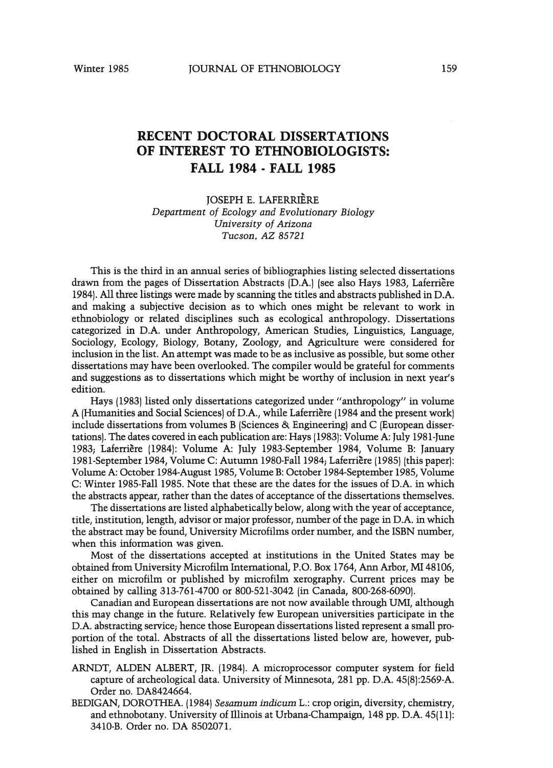## **RECENT DOCTORAL DISSERTATIONS OF INTEREST TO ETHNOBIOLOGISTS: FALL 1984 · FALL 1985**

JOSEPH E. LAFERRIERE *Department of Ecology and Evolutionary Biology University of Arizona Tucson, AZ 85721*

This is the third in an annual series of bibliographies listing selected dissertations drawn from the pages of Dissertation Abstracts (D.A.) (see also Hays 1983, Laferriere 1984).All three listings were made by scanning the titles and abstracts published in D.A. and making a subjective decision as to which ones might be relevant to work in ethnobiology or related disciplines such as ecological anthropology. Dissertations categorized in D.A. under Anthropology, American Studies, Linguistics, Language, Sociology, Ecology, Biology, Botany, Zoology, and Agriculture were considered for inclusion in the list. An attempt was made to be as inclusive as possible, but some other dissertations may have been overlooked. The compiler would be grateful for comments and suggestions as to dissertations which might be worthy of inclusion in next year's edition.

Hays (1983) listed only dissertations categorized under "anthropology" in volume A (Humanities and Social Sciences) of D.A., while Laferriere (1984 and the present work) include dissertations from volumes B (Sciences & Engineering) and C (European dissertations). The dates covered in each publication are: Hays (1983): Volume A: July 1981-June 1983; Laferriere (1984): Volume A: July 1983-September 1984, Volume B: January 1981-September 1984, Volume C: Autumn 1980-Fal11984; Laferriere (1985) (this paper): Volume A: October 1984-August 1985,VolumeB: October 1984-September 1985, Volume C: Winter 1985-Fall 1985. Note that these are the dates for the issues of D.A. in which the abstracts appear, rather than the dates of acceptance of the dissertations themselves.

The dissertations are listed alphabetically below, along with the year of acceptance, title, institution, length, advisor or major professor, number of the page in D.A. in which the abstract may be found, University Microfilms order number, and the ISBN number, when this information was given.

Most of the dissertations accepted at institutions in the United States may be obtained from University Microfilm International, P.O. Box 1764, Ann Arbor, MI 48106, either on microfilm or published by microfilm xerography. Current prices may be obtained by calling 313-761-4700 or 800-521-3042 (in Canada, 800-268-6090).

Canadian and European dissertations are not now available through UMI, although this may change in the future. Relatively few European universities participate in the D.A. abstracting service; hence those European dissertations listed represent a small proportion of the total. Abstracts of all the dissertations listed below are, however, published in English in Dissertation Abstracts.

- ARNDT, ALDEN ALBERT, JR. (1984). A microprocessor computer system for field capture of archeological data. University of Minnesota, 281 pp. D.A. 45(8):2569-A. Order no. DA8424664.
- BEDIGAN, DOROTHEA. (1984) *Sesamum indicum* L.: crop origin, diversity, chemistry, and ethnobotany. University of illinois at Urbana-Champaign, 148 pp. D.A. 45(11): 3410-B. Order no. DA 8502071.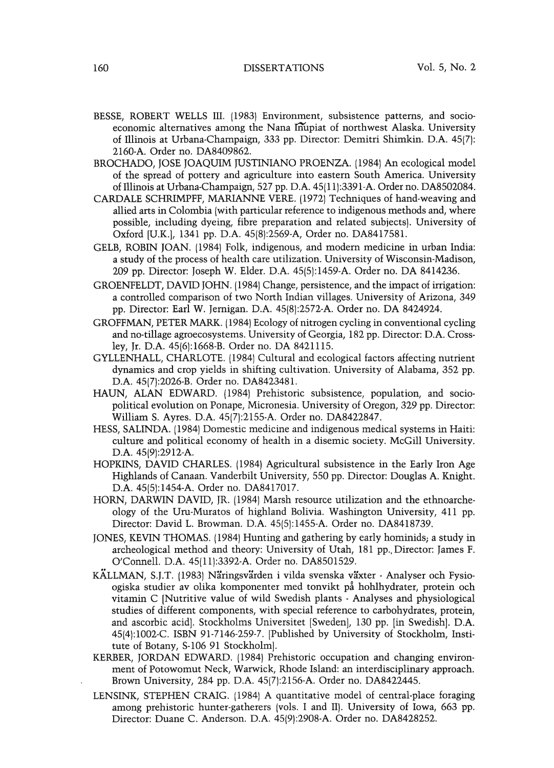- BESSE, ROBERT WELLS III. (1983) Environment, subsistence patterns, and socioeconomic alternatives among the Nana Inupiat of northwest Alaska. University of illinois at Urbana-Champaign, 333 pp. Director: Demitri Shimkin. D.A. 45(7): 2160-A. Order no. DA8409862.
- BROCHADO, JOSE JOAQUIM JUSTINIANO PROENZA. (1984) An ecological model of the spread of pottery and agriculture into eastern South America. University of Illinois at Urbana-Champaign, 527 pp. D.A. 45(11):3391-A. Order no. DA8502084.
- CARDALE SCHRIMPFF, MARIANNE VERE. (1972) Techniques of hand-weaving and allied arts in Colombia (with particular reference to indigenous methods and, where possible, including dyeing, fibre preparation and related subjects). University of Oxford [U.K.], 1341 pp. D.A. 45(8):2569-A, Order no. DA8417581.
- GELB, ROBIN JOAN. (1984) Folk, indigenous, and modem medicine in urban India: a study of the process of health care utilization. University of Wisconsin-Madison, 209 pp. Director: Joseph W. Elder. D.A. 45(5):1459-A. Order no. DA 8414236.
- GROENFELDT, DAVID JOHN. (1984) Change, persistence, and the impact of irrigation: a controlled comparison of two North Indian villages. University of Arizona, 349 pp. Director: Earl W. Jernigan. D.A. 45(8):2572-A. Order no. DA 8424924.
- GROFFMAN, PETER MARK. (1984) Ecology of nitrogen cycling in conventional cycling and no-tillage agroecosystems. University of Georgia, 182 pp. Director: D.A. Crossley, Jr. D.A. 45(6):1668-B. Order no. DA 8421115.
- GYLLENHALL, CHARLOTE. (1984) Cultural and ecological factors affecting nutrient dynamics and crop yields in shifting cultivation. University of Alabama, 352 pp. D.A. 45(7):2026-B. Order no. DA8423481.
- HAUN, ALAN EDWARD. (1984) Prehistoric subsistence, population, and sociopolitical evolution on Ponape, Micronesia. University of Oregon, 329 pp. Director: William S. Ayres. D.A. 45(7):2155-A. Order no. DA8422847.
- HESS, SALINDA. (1984) Domestic medicine and indigenous medical systems in Haiti: culture and political economy of health in a disemic society. McGill University. D.A. 45(9):2912-A.
- HOPKINS, DAVID CHARLES. (1984) Agricultural subsistence in the Early Iron Age Highlands of Canaan. Vanderbilt University, 550 pp. Director: Douglas A. Knight. D.A. 45(5):1454-A. Order no. DA8417017.
- HORN, DARWIN DAVID, JR. (1984) Marsh resource utilization and the ethnoarcheology of the Uru-Muratos of highland Bolivia. Washington University, 411 pp. Director: David L. Browman. D.A. 4S(5):1455-A. Order no. DA8418739.
- JONES, KEVIN THOMAS. (1984) Hunting and gathering by early hominids, a study in archeological method and theory: University of Utah, 181 pp.,Director: James F. O'Connell. D.A. 45(11):3392-A. Order no. DA8501529.
- KÄLLMAN, S.J.T. (1983) Näringsvärden i vilda svenska växter Analyser och Fysioogiska studier av olika komponenter med tonvikt på hohlhydrater, protein och vitamin C [Nutritive value of wild Swedish plants - Analyses and physiological studies of different components, with special reference to carbohydrates, protein, and ascorbic acid]. Stockholms Universitet [Sweden], 130 pp. [in Swedish]. D.A. 45(4):1002-C. ISBN 91-7146-259-7. [Published by University of Stockholm, Institute of Botany, S-106 91 Stockholm].
- KERBER, JORDAN EDWARD. (1984) Prehistoric occupation and changing environment of Potowomut Neck, Warwick, Rhode Island: an interdisciplinary approach. Brown University, 284 pp. D.A. 45(7):2156-A. Order no. DA8422445.
- LENSINK, STEPHEN CRAIG. (1984) A quantitative model of central-place foraging among prehistoric hunter-gatherers (vols. I and II). University of Iowa, 663 pp. Director: Duane C. Anderson. D.A. 45(9):2908-A. Order no. DA8428252.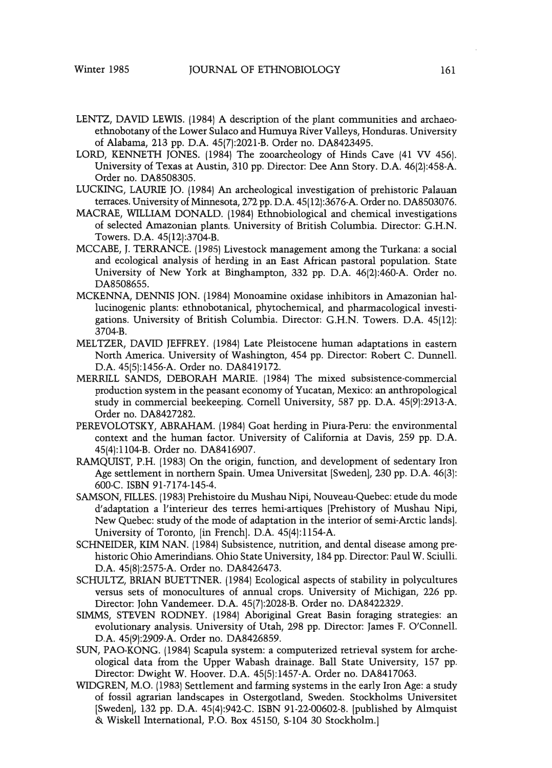- LENTZ, DAVID LEWIS. (1984) A description of the plant communities and archaeoethnobotany of the Lower Sulaco and Humuya River Valleys, Honduras. University of Alabama, 213 pp. D.A. 45(7):2021-B. Order no. DA8423495.
- LORD, KENNETH JONES. (1984) The zooarcheology of Hinds Cave (41 VV 456). University of Texas at Austin, 310 pp. Director: Dee Ann Story. D.A. 46(2):458-A. Order no. DA8508305.
- LUCKING, LAURIE JO. (1984) An archeological investigation of prehistoric Palauan terraces. University of Minnesota, 272 pp. D.A. 45(12):3676-A. Order no. DA8503076.
- MACRAE, WILLIAM DONALD. (1984) Ethnobiological and chemical investigations of selected Amazonian plants. University of British Columbia. Director: G.H.N. Towers. D.A. 45(12):3704-B.
- MCCABE, J. TERRANCE. (1985) Livestock management among the Turkana: a social and ecological analysis of herding in an East African pastoral population. State University of New York at Binghampton, 332 pp. D.A. 46(2):460-A. Order no. DA8508655.
- MCKENNA, DENNIS JON. (1984) Monoamine oxidase inhibitors in Amazonian hallucinogenic plants: ethnobotanical, phytochemical, and pharmacological investigations. University of British Columbia. Director: G.H.N. Towers. D.A. 45(12): 3704-B.
- MELTZER, DAVID JEFFREY. (1984) Late Pleistocene human adaptations in eastern North America. University of Washington, 454 pp. Director: Robert C. Dunnell. D.A. 45(5):1456-A. Order no. DA8419172.
- MERRILL SANDS, DEBORAH MARIE. (1984) The mixed subsistence-commercial production system in the peasant economy of Yucatan, Mexico: an anthropological study in commercial beekeeping. Cornell University, 587 pp. D.A. 45(9):2913-A. Order no. DA8427282.
- PEREVOLOTSKY, ABRAHAM. (1984) Goat herding in Piura-Peru: the environmental context and the human factor. University of California at Davis, 259 pp. D.A. 45(4):1104-B. Order no. DA8416907.
- RAMQUIST, P.H. (1983) On the origin, function, and development of sedentary Iron Age settlement in northern Spain. Umea Universitat [Sweden], 230 pp. D.A. 46(3): 600-C. ISBN 91-7174-145-4.
- SAMSON, FILLES. (1983) Prehistoire du Mushau Nipi, Nouveau-Quebec: etude du mode d'adaptation a l'interieur des terres hemi-artiques [Prehistory of Mushau Nipi, New Quebec: study of the mode of adaptation in the interior of semi-Arctic lands]. University of Toronto, [in French]. D.A. 45(4):1154-A.
- SCHNEIDER, KIM NAN. (1984) Subsistence} nutrition, and dental disease among prehistoric Ohio Amerindians. Ohio State University, 184 pp. Director: Paul W. Sciulli. D.A. 45(8):2575-A. Order no. DA8426473.
- SCHULTZ, BRIAN BUETTNER. (1984) Ecological aspects of stability in polycultures versus sets of monocultures of annual crops. University of Michigan, 226 pp. Director: John Vandemeer. D.A. 45(7):2028-B. Order no. DA8422329.
- SIMMS, STEVEN RODNEY. (1984) Aboriginal Great Basin foraging strategies: an evolutionary analysis. University of Utah, 298 pp. Director: James F. O'Connell. D.A. 45(9):2909-A. Order no. DA8426859.
- SUN, PAO-KONG. (1984) Scapula system: a computerized retrieval system for archeological data from the Upper Wabash drainage. Ball State University, 157 pp. Director: Dwight W. Hoover. D.A. 45(5):1457-A. Order no. DA8417063.
- WIDGREN, M.O. (1983) Settlement and farming systems in the early Iron Age: a study of fossil agrarian landscapes in Ostergotland, Sweden. Stockholms Universitet [Sweden], 132 pp. D.A. 45(4):942-C. ISBN 91-22-00602-8. [published by Almquist & Wiskell International, P.O. Box 45150, S-104 30 Stockholm.]